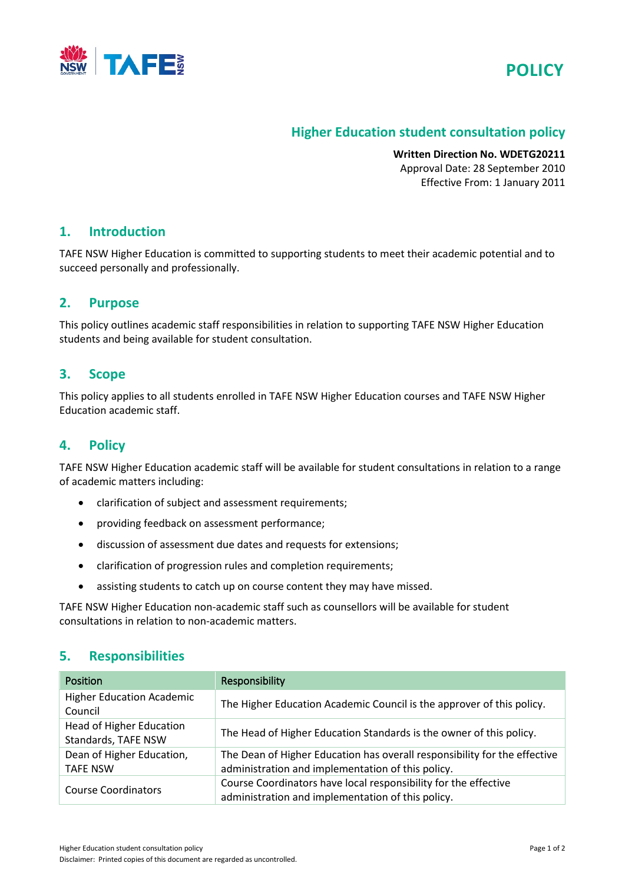



# **Higher Education student consultation policy**

**Written Direction No. WDETG20211** Approval Date: 28 September 2010 Effective From: 1 January 2011

#### **1. Introduction**

TAFE NSW Higher Education is committed to supporting students to meet their academic potential and to succeed personally and professionally.

## **2. Purpose**

This policy outlines academic staff responsibilities in relation to supporting TAFE NSW Higher Education students and being available for student consultation.

## **3. Scope**

This policy applies to all students enrolled in TAFE NSW Higher Education courses and TAFE NSW Higher Education academic staff.

## **4. Policy**

TAFE NSW Higher Education academic staff will be available for student consultations in relation to a range of academic matters including:

- clarification of subject and assessment requirements;
- providing feedback on assessment performance;
- discussion of assessment due dates and requests for extensions;
- clarification of progression rules and completion requirements;
- assisting students to catch up on course content they may have missed.

TAFE NSW Higher Education non-academic staff such as counsellors will be available for student consultations in relation to non-academic matters.

## **5. Responsibilities**

| <b>Position</b>                                        | Responsibility                                                                                                                 |
|--------------------------------------------------------|--------------------------------------------------------------------------------------------------------------------------------|
| <b>Higher Education Academic</b><br>Council            | The Higher Education Academic Council is the approver of this policy.                                                          |
| <b>Head of Higher Education</b><br>Standards, TAFE NSW | The Head of Higher Education Standards is the owner of this policy.                                                            |
| Dean of Higher Education,<br><b>TAFE NSW</b>           | The Dean of Higher Education has overall responsibility for the effective<br>administration and implementation of this policy. |
| <b>Course Coordinators</b>                             | Course Coordinators have local responsibility for the effective<br>administration and implementation of this policy.           |